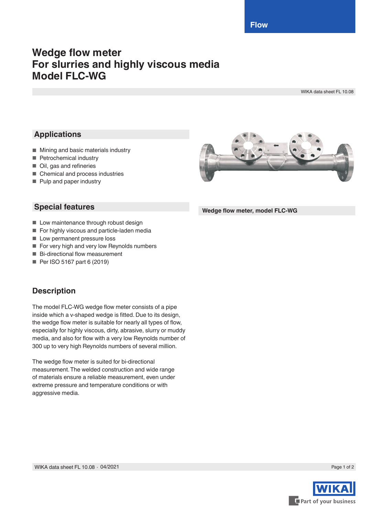**Flow**

# **Wedge flow meter For slurries and highly viscous media Model FLC-WG**

WIKA data sheet FL 10.08

# **Applications**

- Mining and basic materials industry
- Petrochemical industry
- Oil, gas and refineries
- Chemical and process industries
- Pulp and paper industry

## **Special features**

- Low maintenance through robust design
- For highly viscous and particle-laden media
- Low permanent pressure loss
- For very high and very low Reynolds numbers
- Bi-directional flow measurement
- Per ISO 5167 part 6 (2019)

## **Description**

The model FLC-WG wedge flow meter consists of a pipe inside which a v-shaped wedge is fitted. Due to its design, the wedge flow meter is suitable for nearly all types of flow, especially for highly viscous, dirty, abrasive, slurry or muddy media, and also for flow with a very low Reynolds number of 300 up to very high Reynolds numbers of several million.

The wedge flow meter is suited for bi-directional measurement. The welded construction and wide range of materials ensure a reliable measurement, even under extreme pressure and temperature conditions or with aggressive media.



**Wedge flow meter, model FLC-WG**